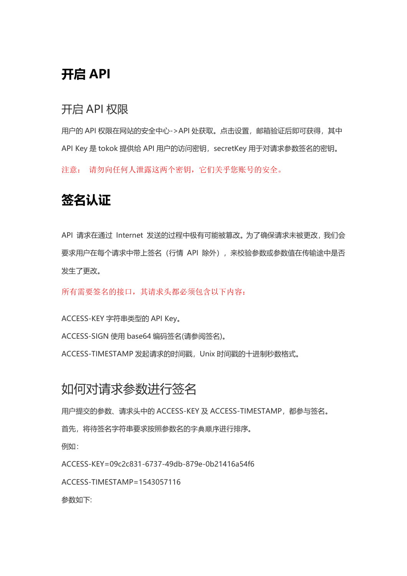## **开启 API**

### 开启 API 权限

用户的 API 权限在网站的安全中心->API 处获取。点击设置, 邮箱验证后即可获得, 其中 API Key 是 tokok 提供给 API 用户的访问密钥, secretKey 用于对请求参数签名的密钥。 注意: 请勿向任何人泄露这两个密钥,它们关乎您账号的安全。

## **[签名认证](https://github.com/huobiapi/API_Docs/wiki/REST_authentication)**

API 请求在通过 Internet 发送的过程中极有可能被篡改。为了确保请求未被更改, 我们会 要求用户在每个请求中带上签名(行情 API 除外), 来校验参数或参数值在传输途中是否 发生了更改。

所有需要签名的接口,其请求头都必须包含以下内容:

ACCESS-KEY 字符串类型的 API Key。

ACCESS-SIGN 使用 base64 编码签名(请参阅签名)。

ACCESS-TIMESTAMP 发起请求的时间戳,Unix 时间戳的十进制秒数格式。

## 如何对请求参数进行签名

用户提交的参数、请求头中的 ACCESS-KEY 及 ACCESS-TIMESTAMP,都参与签名。

首先,将待签名字符串要求按照参数名的字典顺序进行排序。

例如:

ACCESS-KEY=09c2c831-6737-49db-879e-0b21416a54f6

ACCESS-TIMESTAMP=1543057116

参数如下: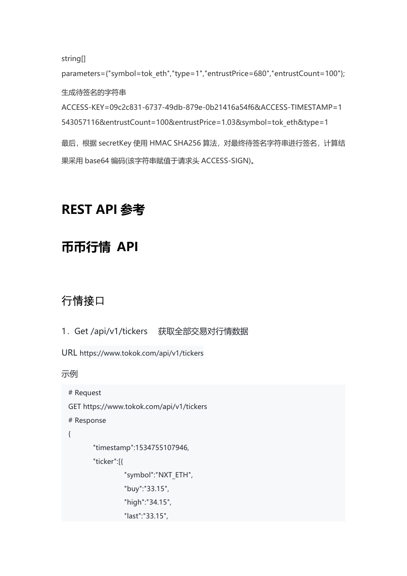string[]

parameters={"symbol=tok\_eth","type=1","entrustPrice=680","entrustCount=100"}; 生成待签名的字符串 ACCESS-KEY=09c2c831-6737-49db-879e-0b21416a54f6&ACCESS-TIMESTAMP=1 543057116&entrustCount=100&entrustPrice=1.03&symbol=tok\_eth&type=1 最后, 根据 secretKey 使用 HMAC SHA256 算法, 对最终待签名字符串进行签名, 计算结

果采用 base64 编码(该字符串赋值于请求头 ACCESS-SIGN)。

## **REST API 参考**

# **币币行情 API**

## 行情接口

```
1.Get /api/v1/tickers 获取全部交易对行情数据
```
URL https://www.tokok.com/api/v1/tickers

```
# Request
GET https://www.tokok.com/api/v1/tickers
# Response
\{"timestamp":1534755107946, "ticker":[{ "symbol":"NXT_ETH", "buy":"33.15", "high":"34.15", "last":"33.15",
```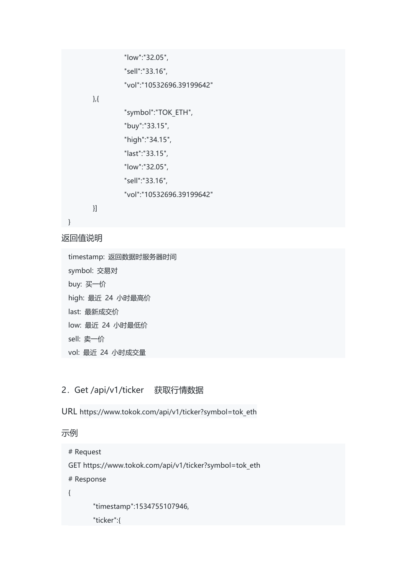```
"low":"32.05", "sell":"33.16", "vol":"10532696.39199642"
},{ "symbol":"TOK_ETH", "buy":"33.15", "high":"34.15", "last":"33.15", "low":"32.05", "sell":"33.16", "vol":"10532696.39199642"
}]
```

```
}
```
timestamp: 返回数据时服务器时间 symbol: 交易对 buy: 买一价 high: 最近 24 小时最高价 last: 最新成交价 low: 最近 24 小时最低价 sell: 卖一价 vol: 最近 24 小时成交量

#### 2.Get /api/v1/ticker 获取行情数据

URL https://www.tokok.com/api/v1/ticker?symbol=tok\_eth

```
# Request
GET https://www.tokok.com/api/v1/ticker?symbol=tok_eth
# Response
\{ \{ \}"timestamp":1534755107946, "ticker":{
```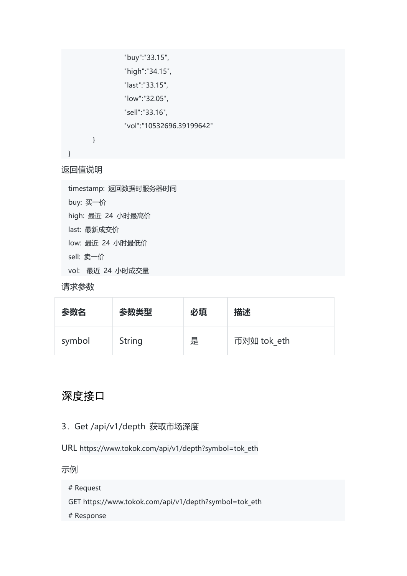```
"buy":"33.15", "high":"34.15", "last":"33.15", "low":"32.05", "sell":"33.16", "vol":"10532696.39199642"
}
```
}

timestamp: 返回数据时服务器时间 buy: 买一价 high: 最近 24 小时最高价 last: 最新成交价 low: 最近 24 小时最低价 sell: 卖一价 vol: 最近 24 小时成交量

```
请求参数
```

| 参数名    | 参数类型          | 必填 | 描述          |
|--------|---------------|----|-------------|
| symbol | <b>String</b> | 是  | 币对如 tok eth |

### 深度接口

#### 3.Get /api/v1/depth 获取市场深度

URL [https://www.tokok.com/api/v1/depth?symbol=tok\\_eth](https://www.tokok.com/api/v1/depth?symbol=tok_eth)

示例 しゅうしょう しゅうしょう しゅうしょく

- # Request
- GET https://www.tokok.com/api/v1/depth?symbol=tok\_eth

# Response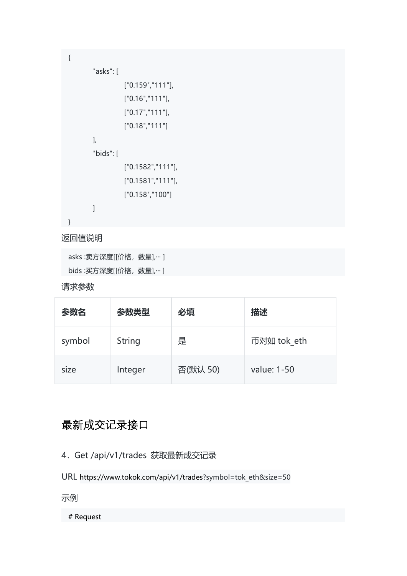```
\{"asks": [
              ["0.159","111"], ["0.16","111"], ["0.17","111"], ["0.18","111"]
     ],"bids": [
              ["0.1582","111"], ["0.1581","111"], ["0.158","100"]
      ]
}
```
asks :卖方深度[[价格, 数量],… ] bids :买方深度[[价格, 数量],… ]

#### 请求参数

| 参数名    | 参数类型          | 必填       | 描述          |
|--------|---------------|----------|-------------|
| symbol | <b>String</b> | 是        | 币对如 tok eth |
| size   | Integer       | 否(默认 50) | value: 1-50 |

### 最新成交记录接口

- 4.Get /api/v1/trades 获取最新成交记录
- URL https://www.tokok.com/api/v1/trades?symbol=tok\_eth&size=50
- 示例 しゅうしょう しゅうしょう しゅうしょく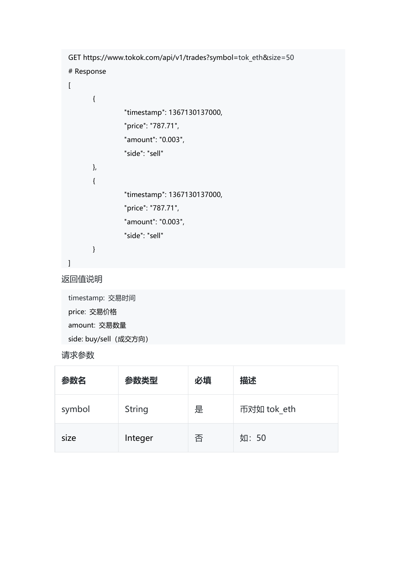```
GET https://www.tokok.com/api/v1/trades?symbol=tok_eth&size=50
# Response
\lceil\{"timestamp": 1367130137000, "price": "787.71", "amount": "0.003", "side": "sell"
       },<br>{
               "timestamp": 1367130137000, "price": "787.71", "amount": "0.003", "side": "sell"
       }
]
```
timestamp: 交易时间 price: 交易价格 amount: 交易数量 side: buy/sell (成交方向)

#### 请求参数

| 参数名    | 参数类型          | 必填 | 描述          |
|--------|---------------|----|-------------|
| symbol | <b>String</b> | 是  | 币对如 tok eth |
| size   | Integer       | 否  | 如:50        |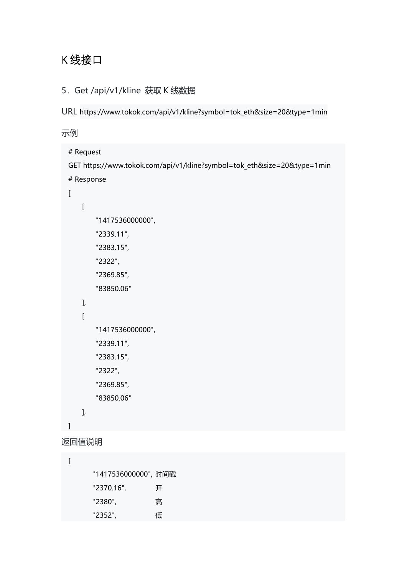## K 线接口

#### 5.Get /api/v1/kline 获取 K 线数据

URL https://www.tokok.com/api/v1/kline?symbol=tok\_eth&size=20&type=1min

```
# Request
  GET https://www.tokok.com/api/v1/kline?symbol=tok_eth&size=20&type=1min
  # Response
  [\begin{bmatrix} 1 & 1 & 1 \\ 1 & 1 & 1 \end{bmatrix}"1417536000000",
          "2339.11", "2383.15", "2322", "2369.85", "83850.06"
      ],<br>[
          "1417536000000",
          "2339.11", "2383.15", "2322", "2369.85", "83850.06"
     ], ]
返回值说明
```

```
[ "1417536000000", 时间戳
   "2370.16", 开
   "2380", 高
   "2352", 低
```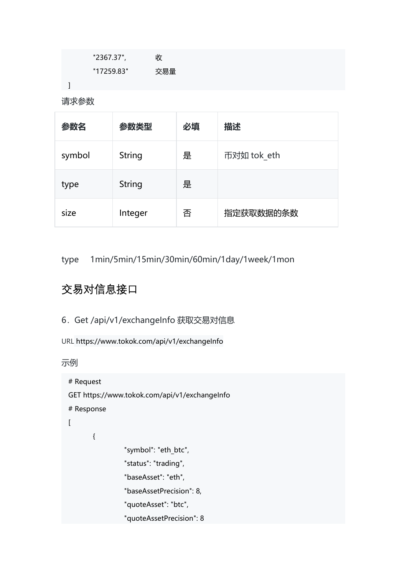| "2367.37", | 收   |  |
|------------|-----|--|
| "17259.83" | 交易量 |  |
|            |     |  |

请求参数

| 参数名    | 参数类型          | 必填 | 描述          |
|--------|---------------|----|-------------|
| symbol | <b>String</b> | 是  | 币对如 tok eth |
| type   | <b>String</b> | 是  |             |
| size   | Integer       | 否  | 指定获取数据的条数   |

type 1min/5min/15min/30min/60min/1day/1week/1mon

## 交易对信息接口

```
6.Get /api/v1/exchangeInfo 获取交易对信息
```
URL https://www.tokok.com/api/v1/exchangeInfo

```
# Request
GET https://www.tokok.com/api/v1/exchangeInfo
# Response
[\{"symbol": "eth_btc", "status": "trading", "baseAsset": "eth", "baseAssetPrecision": 8, "quoteAsset": "btc", "quoteAssetPrecision": 8
```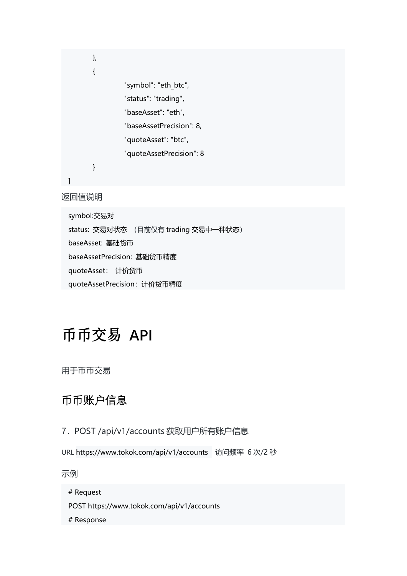```
},<br>{
        "symbol": "eth_btc", "status": "trading", "baseAsset": "eth", "baseAssetPrecision": 8, "quoteAsset": "btc", "quoteAssetPrecision": 8
}
```
]

symbol:交易对 status: 交易对状态 (目前仅有 trading 交易中一种状态) baseAsset: 基础货币 baseAssetPrecision: 基础货币精度 quoteAsset: 计价货币 quoteAssetPrecision:计价货币精度

# 币币交易 **API**

用于币币交易

### 币币账户信息

- 7.POST /api/v1/accounts 获取用户所有账户信息
- URL https://www.tokok.com/api/v1/accounts 访问频率 6 次/2 秒

示例 しゅうしょう しゅうしょう しゅうしょく

- POST https://www.tokok.com/api/v1/accounts
- # Response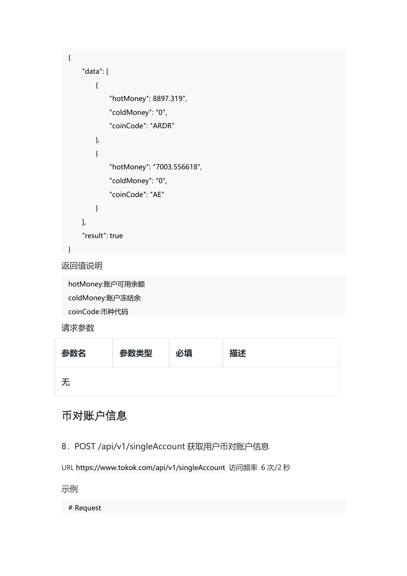```
{ "data": [
       { "hotMoney": 8897.319", "coldMoney": "0", "coinCode": "ARDR"
       },<br>{
           "hotMoney": "7003.556618", "coldMoney": "0", "coinCode": "AE"
       }
   ],<br>"result": true
}
```
hotMoney:账户可用余额 coldMoney:账户冻结余 coinCode:币种代码

#### 请求参数

### 币对账户信息

8.POST /api/v1/singleAccount 获取用户币对账户信息

URL https://www.tokok.com/api/v1/singleAccount 访问频率 6 次/2 秒

示例 しゅうしょう しゅうしょう しゅうしょく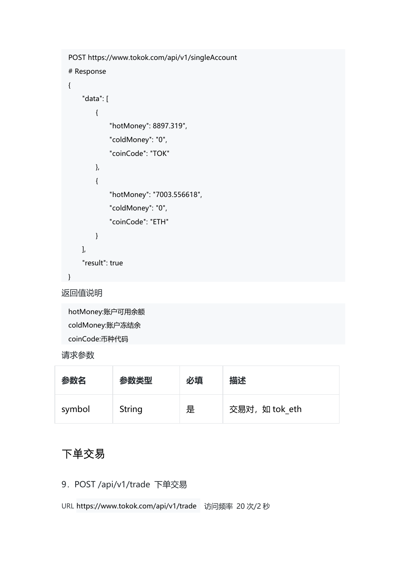```
POST https://www.tokok.com/api/v1/singleAccount
# Response
{ "data": [
       \{ \{ \}"hotMoney": 8897.319", "coldMoney": "0", "coinCode": "TOK"
       },<br>{
          "hotMoney": "7003.556618", "coldMoney": "0", "coinCode": "ETH"
       }
   ],<br>"result": true
}
```
hotMoney:账户可用余额 coldMoney:账户冻结余 coinCode:币种代码

#### 请求参数

| 参数名    | 参数类型   | 必填 | 描述             |
|--------|--------|----|----------------|
| symbol | String | 是  | 交易对, 如 tok eth |

### 下单交易

9.POST /api/v1/trade 下单交易

URL https://www.tokok.com/api/v1/trade 访问频率 20 次/2 秒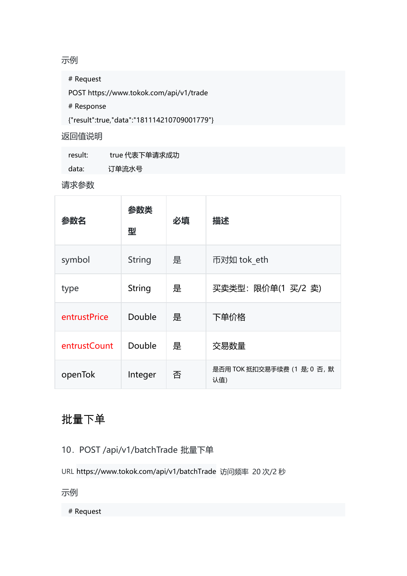#### 示例 しゅうしょう しゅうしょう しゅうしょく

# Request

POST https://www.tokok.com/api/v1/trade

# Response

{"result":true,"data":"181114210709001779"}

#### 返回值说明

| result: | true 代表下单请求成功 |
|---------|---------------|
| data:   | 订单流水号         |

#### 请求参数

| 参数名          | 参数类<br>型      | 必填 | 描述                                  |
|--------------|---------------|----|-------------------------------------|
| symbol       | <b>String</b> | 是  | 币对如 tok eth                         |
| type         | <b>String</b> | 是  | 买卖类型: 限价单(1 买/2 卖)                  |
| entrustPrice | Double        | 是  | 下单价格                                |
| entrustCount | Double        | 是  | 交易数量                                |
| openTok      | Integer       | 否  | 是否用 TOK 抵扣交易手续费 (1 是; 0 否, 默<br>认值) |

## 批量下单

10.POST /api/v1/batchTrade 批量下单

URL https://www.tokok.com/api/v1/batchTrade 访问频率 20 次/2 秒

示例 しゅうしょう しゅうしょう しゅうしょく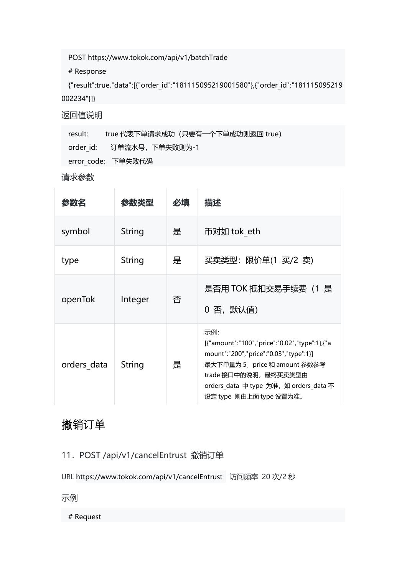POST https://www.tokok.com/api/v1/batchTrade

# Response

{"result":true,"data":[{"order\_id":"181115095219001580"},{"order\_id":"181115095219 002234"}]}

返回值说明

result: true 代表下单请求成功 (只要有一个下单成功则返回 true) order id: 订单流水号,下单失败则为-1 error\_code: 下单失败代码

请求参数

| 参数名         | 参数类型          | 必填 | 描述                                                                                                                                                                                                                            |
|-------------|---------------|----|-------------------------------------------------------------------------------------------------------------------------------------------------------------------------------------------------------------------------------|
| symbol      | <b>String</b> | 是  | 币对如 tok eth                                                                                                                                                                                                                   |
| type        | <b>String</b> | 是  | 买卖类型: 限价单(1 买/2 卖)                                                                                                                                                                                                            |
| openTok     | Integer       | 否  | 是否用 TOK 抵扣交易手续费(1 是<br>0 否,默认值)                                                                                                                                                                                               |
| orders data | <b>String</b> | 是  | 示例:<br>[{"amount":"100","price":"0.02","type":1},{"a<br>mount":"200","price":"0.03","type":1}]<br>最大下单量为 5, price 和 amount 参数参考<br>trade 接口中的说明, 最终买卖类型由<br>orders_data 中 type 为准, 如 orders_data 不<br>设定 type 则由上面 type 设置为准。 |

### 撤销订单

11.POST /api/v1/cancelEntrust 撤销订单

URL https://www.tokok.com/api/v1/cancelEntrust 访问频率 20 次/2 秒

示例 しゅうしょう しゅうしょう しゅうしょく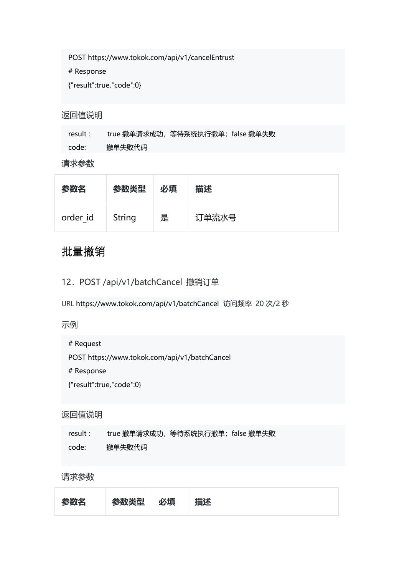POST https://www.tokok.com/api/v1/cancelEntrust

# Response

{"result":true,"code":0}

#### 返回值说明

result : true 撤单请求成功, 等待系统执行撤单; false 撤单失败 code: 撤单失败代码

#### 请求参数

| 参数名      | 参数类型   | 必填 | 描述    |
|----------|--------|----|-------|
| order id | String | 是  | 订单流水号 |

### 批量撤销

#### 12.POST /api/v1/batchCancel 撤销订单

URL https://www.tokok.com/api/v1/batchCancel 访问频率 20 次/2 秒

#### 示例 しゅうしょう しゅうしょう しゅうしょく

# Request

POST https://www.tokok.com/api/v1/batchCancel

# Response

{"result":true,"code":0}

#### 返回值说明

| result : | true 撤单请求成功,等待系统执行撤单;false 撤单失败 |  |  |
|----------|---------------------------------|--|--|
| code:    | 撤单失败代码                          |  |  |

#### 请求参数

| 参数名 | 参数类型 必填 。 | 描述 |
|-----|-----------|----|
|     |           |    |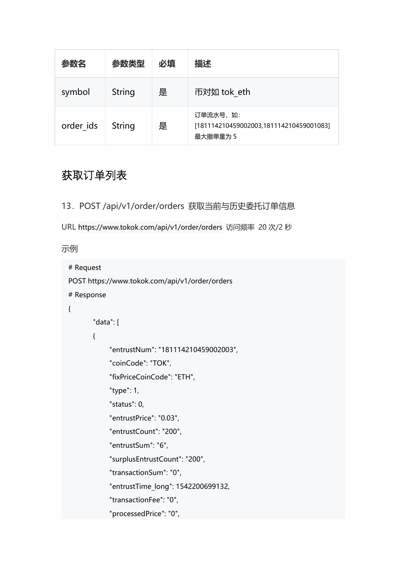| 参数名       | 参数类型          | 必填 | 描述                                                               |
|-----------|---------------|----|------------------------------------------------------------------|
| symbol    | <b>String</b> | 是  | 币对如 tok eth                                                      |
| order ids | <b>String</b> | 是  | 订单流水号, 如:<br>[181114210459002003,181114210459001083]<br>最大撤单量为 5 |

### 获取订单列表

- 13.POST /api/v1/order/orders 获取当前与历史委托订单信息
- URL https://www.tokok.com/api/v1/order/orders 访问频率 20 次/2 秒

```
# Request
POST https://www.tokok.com/api/v1/order/orders
# Response
\{ \{ \}"data": [
       \{"entrustNum": "181114210459002003", "coinCode": "TOK", "fixPriceCoinCode": "ETH", "type": 1, "status": 0, "entrustPrice": "0.03", "entrustCount": "200", "entrustSum": "6", "surplusEntrustCount": "200", "transactionSum": "0", "entrustTime_long": 1542200699132, "transactionFee": "0", "processedPrice": "0",
```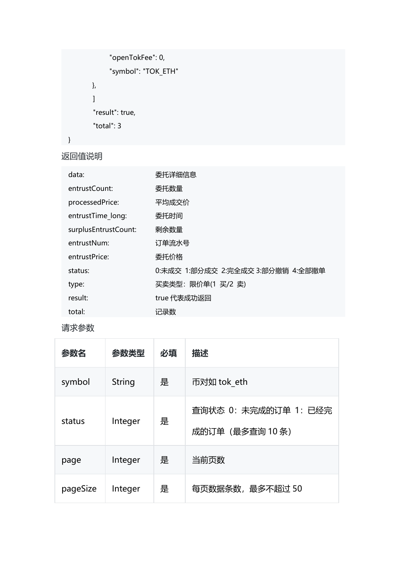```
"openTokFee": 0, "symbol": "TOK_ETH"
},<br>]<br>"result": true,
"total": 3
```
}

| data:                | 委托详细信息                            |  |
|----------------------|-----------------------------------|--|
| entrustCount:        | 委托数量                              |  |
| processedPrice:      | 平均成交价                             |  |
| entrustTime long:    | 委托时间                              |  |
| surplusEntrustCount: | 剩余数量                              |  |
| entrustNum:          | 订单流水号                             |  |
| entrustPrice:        | 委托价格                              |  |
| status:              | 0:未成交 1:部分成交 2:完全成交 3:部分撤销 4:全部撤单 |  |
| type:                | 买卖类型: 限价单(1 买/2 卖)                |  |
| result:              | true 代表成功返回                       |  |
| total:               | 记录数                               |  |

### 请求参数

| 参数名      | 参数类型          | 必填 | 描述                                      |
|----------|---------------|----|-----------------------------------------|
| symbol   | <b>String</b> | 是  | 币对如 tok eth                             |
| status   | Integer       | 是  | 查询状态 0: 未完成的订单 1: 已经完<br>成的订单 (最多查询10条) |
| page     | Integer       | 是  | 当前页数                                    |
| pageSize | Integer       | 是  | 每页数据条数, 最多不超过 50                        |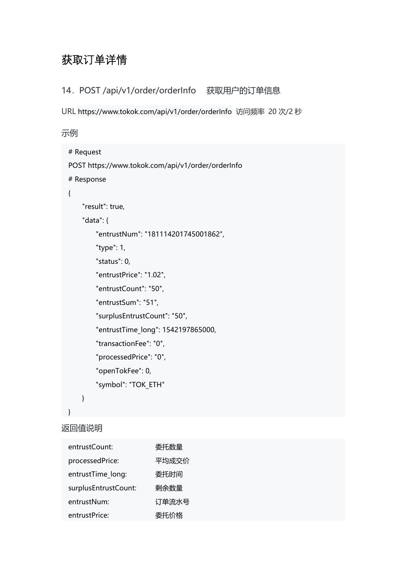## 获取订单详情

14.POST /api/v1/order/orderInfo 获取用户的订单信息

URL https://www.tokok.com/api/v1/order/orderInfo 访问频率 20 次/2 秒

示例 しゅうしょう しゅうしょう しゅうしょく

```
# Request
POST https://www.tokok.com/api/v1/order/orderInfo
# Response
\{ \{ \}"result": true, "data": { "entrustNum": "181114201745001862", "type": 1, "status": 0, "entrustPrice": "1.02", "entrustCount": "50", "entrustSum": "51", "surplusEntrustCount": "50", "entrustTime_long": 1542197865000, "transactionFee": "0", "processedPrice": "0", "openTokFee": 0, "symbol": "TOK_ETH"
    }
```
}

返回值说明

| entrustCount:        | 委托数量  |
|----------------------|-------|
| processedPrice:      | 平均成交价 |
| entrustTime long:    | 委托时间  |
| surplusEntrustCount: | 剩余数量  |
| entrustNum:          | 订单流水号 |
| entrustPrice:        | 委托价格  |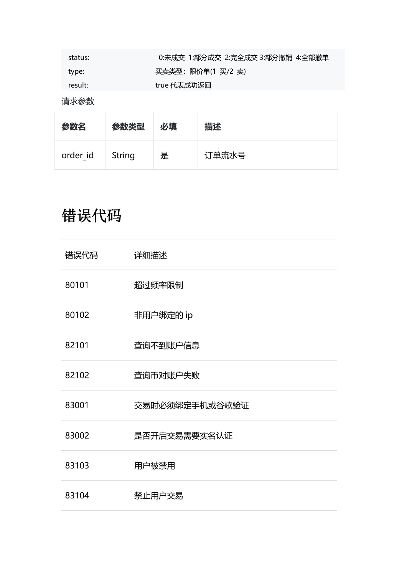| status: | 0:未成交 1:部分成交 2:完全成交 3:部分撤销 4:全部撤单 |  |
|---------|-----------------------------------|--|
| type:   | 买卖类型:限价单(1 买/2 卖)                 |  |
| result: | true 代表成功返回                       |  |

请求参数

| 参数名             | 参数类型 | 必填 | 描述    |
|-----------------|------|----|-------|
| order id String |      | 是  | 订单流水号 |

# 错误代码

| 错误代码  | 详细描述           |  |
|-------|----------------|--|
| 80101 | 超过频率限制         |  |
| 80102 | 非用户绑定的 ip      |  |
| 82101 | 查询不到账户信息       |  |
| 82102 | 查询币对账户失败       |  |
| 83001 | 交易时必须绑定手机或谷歌验证 |  |
| 83002 | 是否开启交易需要实名认证   |  |
| 83103 | 用户被禁用          |  |
| 83104 | 禁止用户交易         |  |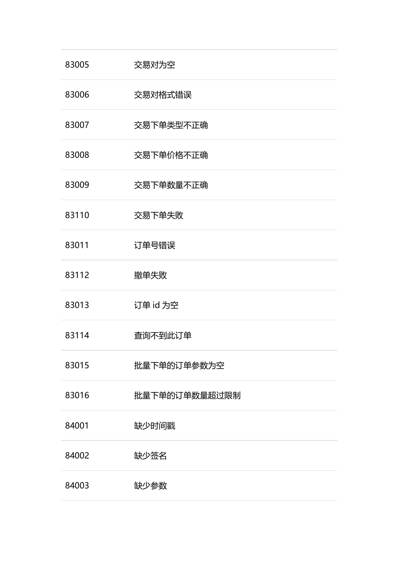| 83005 | 交易对为空         |  |
|-------|---------------|--|
| 83006 | 交易对格式错误       |  |
| 83007 | 交易下单类型不正确     |  |
| 83008 | 交易下单价格不正确     |  |
| 83009 | 交易下单数量不正确     |  |
| 83110 | 交易下单失败        |  |
| 83011 | 订单号错误         |  |
| 83112 | 撤单失败          |  |
| 83013 | 订单 id 为空      |  |
| 83114 | 查询不到此订单       |  |
| 83015 | 批量下单的订单参数为空   |  |
| 83016 | 批量下单的订单数量超过限制 |  |
| 84001 | 缺少时间戳         |  |
| 84002 | 缺少签名          |  |
| 84003 | 缺少参数          |  |